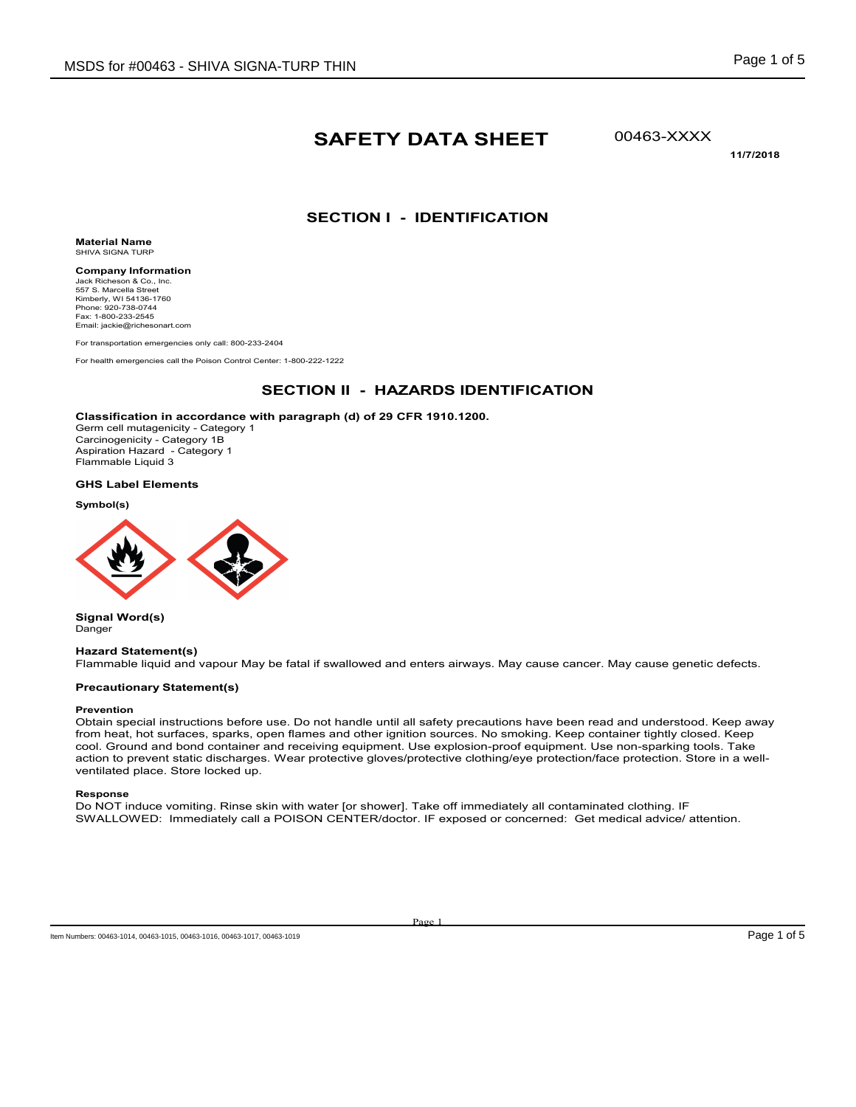# **SAFETY DATA SHEET**

00463-XXXX

**11/7/2018**

# **SECTION I - IDENTIFICATION**

**Material Name** SHIVA SIGNA TURP

**Company Information** Jack Richeson & Co., Inc. 557 S. Marcella Street Kimberly, WI 54136-1760 Phone: 920-738-0744 Fax: 1-800-233-2545 Email: jackie@richesonart.com

For transportation emergencies only call: 800-233-2404

For health emergencies call the Poison Control Center: 1-800-222-1222

### **SECTION II - HAZARDS IDENTIFICATION**

#### **Classification in accordance with paragraph (d) of 29 CFR 1910.1200.**

Germ cell mutagenicity - Category 1 Carcinogenicity - Category 1B Aspiration Hazard - Category 1 Flammable Liquid 3

**GHS Label Elements**

**Symbol(s)**



**Signal Word(s)** Danger

#### **Hazard Statement(s)**

Flammable liquid and vapour May be fatal if swallowed and enters airways. May cause cancer. May cause genetic defects.

#### **Precautionary Statement(s)**

#### **Prevention**

Obtain special instructions before use. Do not handle until all safety precautions have been read and understood. Keep away from heat, hot surfaces, sparks, open flames and other ignition sources. No smoking. Keep container tightly closed. Keep cool. Ground and bond container and receiving equipment. Use explosion-proof equipment. Use non-sparking tools. Take action to prevent static discharges. Wear protective gloves/protective clothing/eye protection/face protection. Store in a wellventilated place. Store locked up.

**Response**

Do NOT induce vomiting. Rinse skin with water [or shower]. Take off immediately all contaminated clothing. IF SWALLOWED: Immediately call a POISON CENTER/doctor. IF exposed or concerned: Get medical advice/ attention.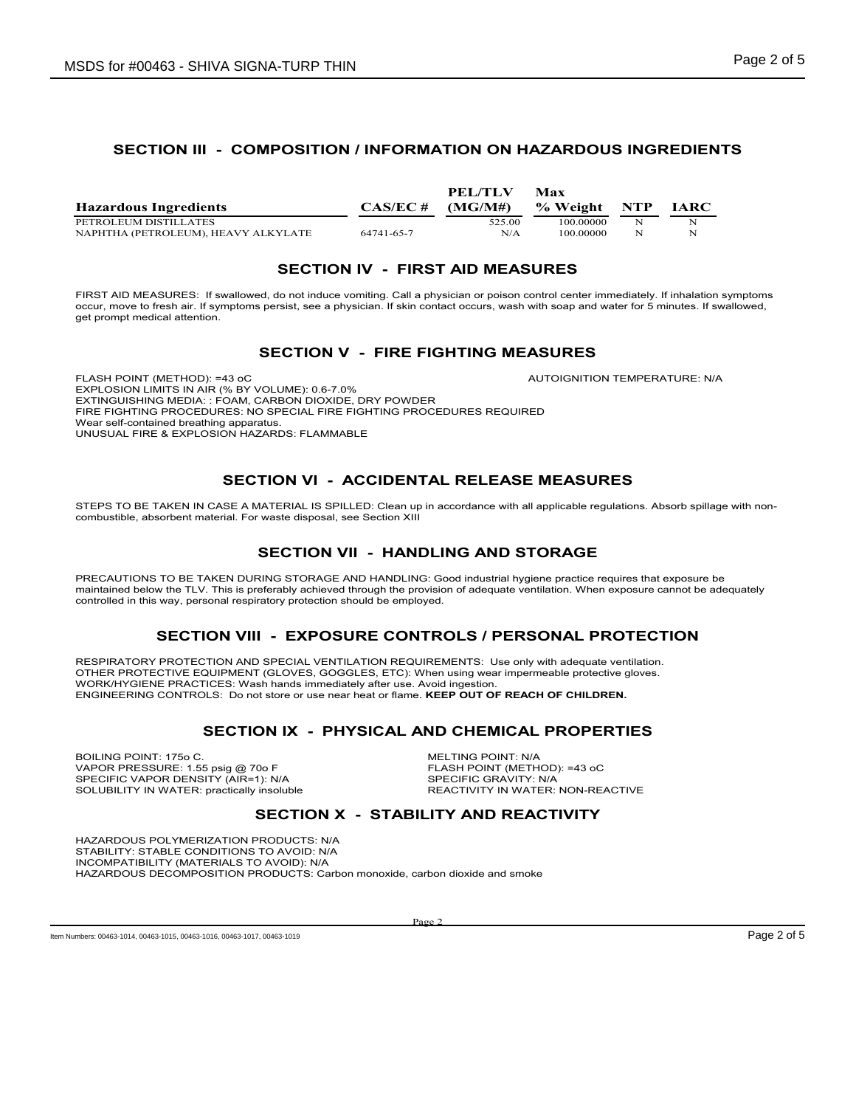### **SECTION III - COMPOSITION / INFORMATION ON HAZARDOUS INGREDIENTS**

| <b>Hazardous Ingredients</b>        | $CAS/EC \#$ | PEL/TLV<br>(MG/M#) | Max<br>% Weight | <b>NTP</b> | <b>IARC</b> |
|-------------------------------------|-------------|--------------------|-----------------|------------|-------------|
| PETROLEUM DISTILLATES               |             | 525.00             | 100 00000       | N          | N           |
| NAPHTHA (PETROLEUM). HEAVY ALKYLATE | 64741-65-7  | N/A                | 100 00000       | N          | N           |

#### **SECTION IV - FIRST AID MEASURES**

FIRST AID MEASURES: If swallowed, do not induce vomiting. Call a physician or poison control center immediately. If inhalation symptoms occur, move to fresh air. If symptoms persist, see a physician. If skin contact occurs, wash with soap and water for 5 minutes. If swallowed, get prompt medical attention.

#### **SECTION V - FIRE FIGHTING MEASURES**

FLASH POINT (METHOD): =43 oC AUTOIGNITION TEMPERATURE: N/A EXPLOSION LIMITS IN AIR (% BY VOLUME): 0.6-7.0% EXTINGUISHING MEDIA: : FOAM, CARBON DIOXIDE, DRY POWDER FIRE FIGHTING PROCEDURES: NO SPECIAL FIRE FIGHTING PROCEDURES REQUIRED Wear self-contained breathing apparatus. UNUSUAL FIRE & EXPLOSION HAZARDS: FLAMMABLE

# **SECTION VI - ACCIDENTAL RELEASE MEASURES**

STEPS TO BE TAKEN IN CASE A MATERIAL IS SPILLED: Clean up in accordance with all applicable regulations. Absorb spillage with noncombustible, absorbent material. For waste disposal, see Section XIII

# **SECTION VII - HANDLING AND STORAGE**

PRECAUTIONS TO BE TAKEN DURING STORAGE AND HANDLING: Good industrial hygiene practice requires that exposure be maintained below the TLV. This is preferably achieved through the provision of adequate ventilation. When exposure cannot be adequately controlled in this way, personal respiratory protection should be employed.

### **SECTION VIII - EXPOSURE CONTROLS / PERSONAL PROTECTION**

RESPIRATORY PROTECTION AND SPECIAL VENTILATION REQUIREMENTS: Use only with adequate ventilation. OTHER PROTECTIVE EQUIPMENT (GLOVES, GOGGLES, ETC): When using wear impermeable protective gloves. WORK/HYGIENE PRACTICES: Wash hands immediately after use. Avoid ingestion. ENGINEERING CONTROLS: Do not store or use near heat or flame. **KEEP OUT OF REACH OF CHILDREN.**

### **SECTION IX - PHYSICAL AND CHEMICAL PROPERTIES**

BOILING POINT: 175o C. MELTING POINT: N/A VAPOR PRESSURE: 1.55 psig @ 70o F<br>SPECIFIC VAPOR DENSITY (AIR=1): N/A GENERAL SPECIFIC GRAVITY: N/A SPECIFIC VAPOR DENSITY (AIR=1): N/A<br>SOLUBILITY IN WATER: practically insoluble The REACTIVITY IN WATER: NON-REACTIVE SOLUBILITY IN WATER: practically insoluble

### **SECTION X - STABILITY AND REACTIVITY**

HAZARDOUS POLYMERIZATION PRODUCTS: N/A STABILITY: STABLE CONDITIONS TO AVOID: N/A INCOMPATIBILITY (MATERIALS TO AVOID): N/A HAZARDOUS DECOMPOSITION PRODUCTS: Carbon monoxide, carbon dioxide and smoke

Page 2

Item Numbers: 00463-1014, 00463-1015, 00463-1016, 00463-1017, 00463-1019 **Page 2 of 5**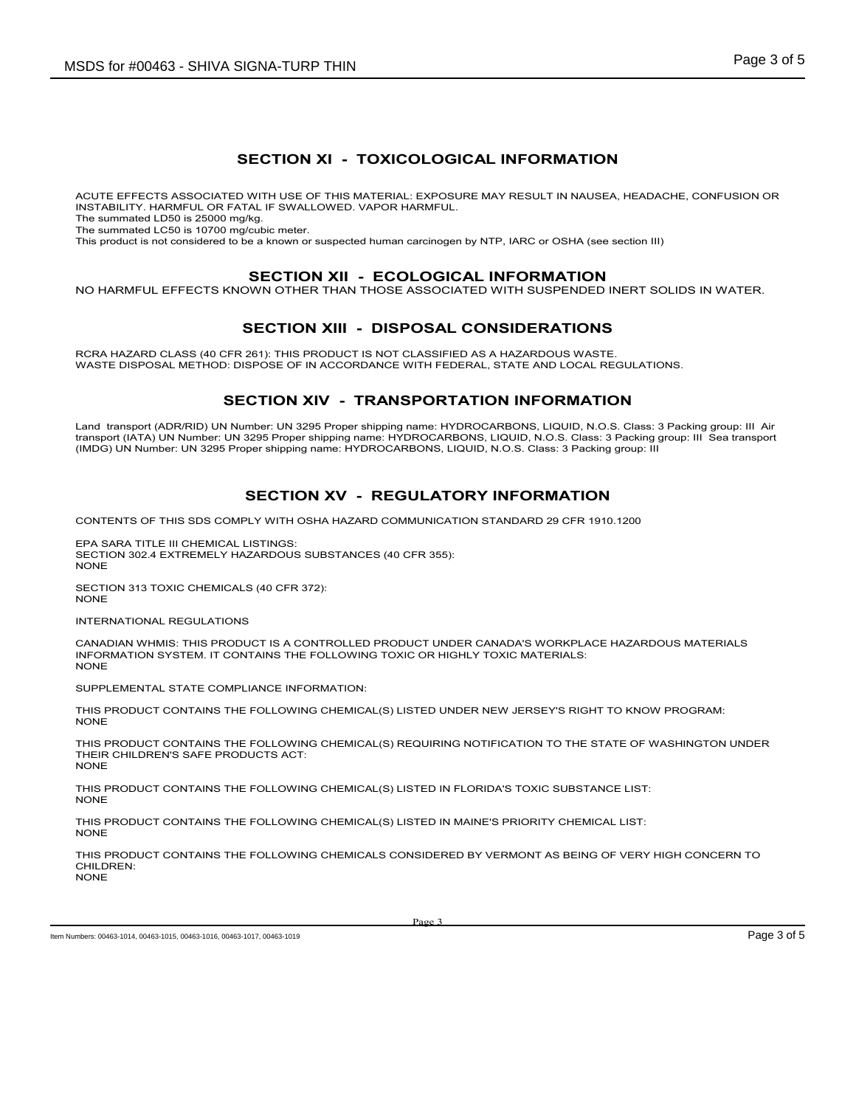### **SECTION XI - TOXICOLOGICAL INFORMATION**

ACUTE EFFECTS ASSOCIATED WITH USE OF THIS MATERIAL: EXPOSURE MAY RESULT IN NAUSEA, HEADACHE, CONFUSION OR INSTABILITY. HARMFUL OR FATAL IF SWALLOWED. VAPOR HARMFUL.

The summated LD50 is 25000 mg/kg.

The summated LC50 is 10700 mg/cubic meter.

This product is not considered to be a known or suspected human carcinogen by NTP, IARC or OSHA (see section III)

#### **SECTION XII - ECOLOGICAL INFORMATION**

NO HARMFUL EFFECTS KNOWN OTHER THAN THOSE ASSOCIATED WITH SUSPENDED INERT SOLIDS IN WATER.

### **SECTION XIII - DISPOSAL CONSIDERATIONS**

RCRA HAZARD CLASS (40 CFR 261): THIS PRODUCT IS NOT CLASSIFIED AS A HAZARDOUS WASTE. WASTE DISPOSAL METHOD: DISPOSE OF IN ACCORDANCE WITH FEDERAL, STATE AND LOCAL REGULATIONS.

# **SECTION XIV - TRANSPORTATION INFORMATION**

Land transport (ADR/RID) UN Number: UN 3295 Proper shipping name: HYDROCARBONS, LIQUID, N.O.S. Class: 3 Packing group: III Air transport (IATA) UN Number: UN 3295 Proper shipping name: HYDROCARBONS, LIQUID, N.O.S. Class: 3 Packing group: III Sea transport (IMDG) UN Number: UN 3295 Proper shipping name: HYDROCARBONS, LIQUID, N.O.S. Class: 3 Packing group: III

# **SECTION XV - REGULATORY INFORMATION**

CONTENTS OF THIS SDS COMPLY WITH OSHA HAZARD COMMUNICATION STANDARD 29 CFR 1910.1200

EPA SARA TITLE III CHEMICAL LISTINGS: SECTION 302.4 EXTREMELY HAZARDOUS SUBSTANCES (40 CFR 355): **NONE** 

SECTION 313 TOXIC CHEMICALS (40 CFR 372): NONE

INTERNATIONAL REGULATIONS

CANADIAN WHMIS: THIS PRODUCT IS A CONTROLLED PRODUCT UNDER CANADA'S WORKPLACE HAZARDOUS MATERIALS INFORMATION SYSTEM. IT CONTAINS THE FOLLOWING TOXIC OR HIGHLY TOXIC MATERIALS: **NONE** 

SUPPLEMENTAL STATE COMPLIANCE INFORMATION:

THIS PRODUCT CONTAINS THE FOLLOWING CHEMICAL(S) LISTED UNDER NEW JERSEY'S RIGHT TO KNOW PROGRAM: NONE

THIS PRODUCT CONTAINS THE FOLLOWING CHEMICAL(S) REQUIRING NOTIFICATION TO THE STATE OF WASHINGTON UNDER THEIR CHILDREN'S SAFE PRODUCTS ACT: **NONE** 

THIS PRODUCT CONTAINS THE FOLLOWING CHEMICAL(S) LISTED IN FLORIDA'S TOXIC SUBSTANCE LIST: NONE

THIS PRODUCT CONTAINS THE FOLLOWING CHEMICAL(S) LISTED IN MAINE'S PRIORITY CHEMICAL LIST: NONE

THIS PRODUCT CONTAINS THE FOLLOWING CHEMICALS CONSIDERED BY VERMONT AS BEING OF VERY HIGH CONCERN TO CHILDREN: **NONE** 

Item Numbers: 00463-1014, 00463-1015, 00463-1016, 00463-1017, 00463-1019 **Page 3 of 5** and the Numbers: 00463-1015, 00463-1016, 00463-1017, 00463-1019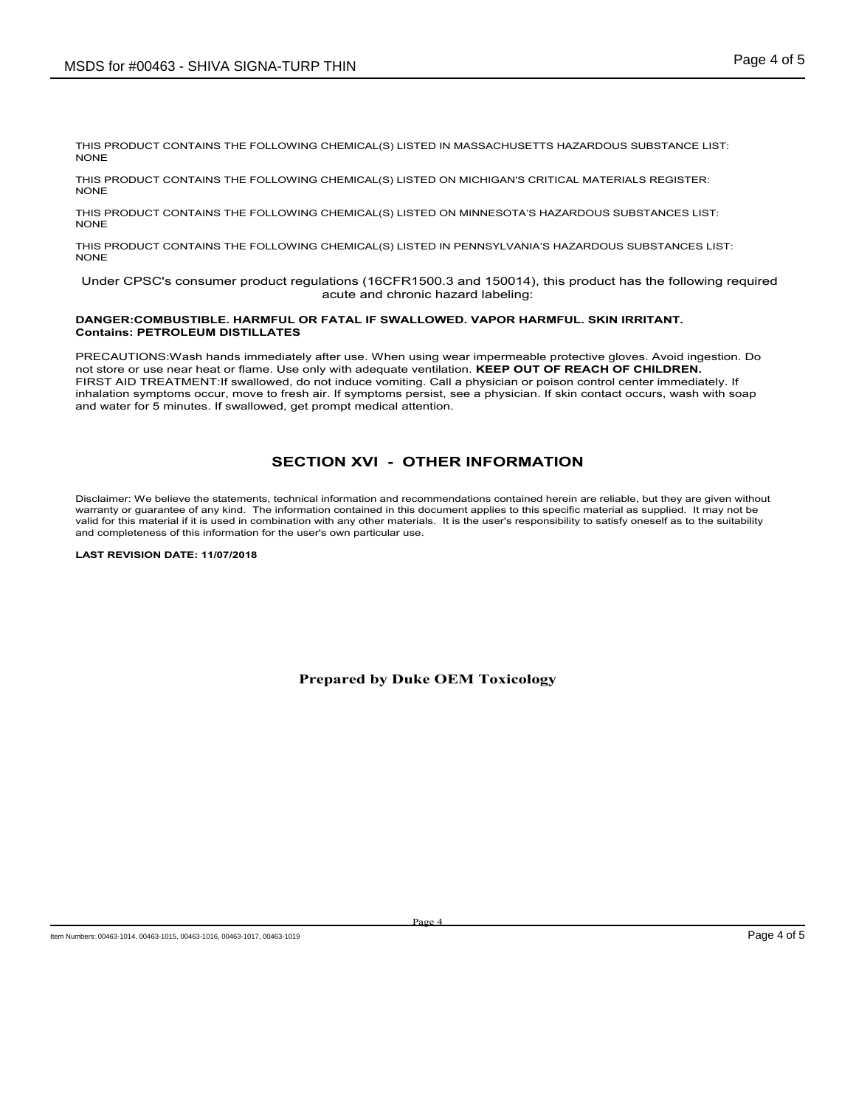THIS PRODUCT CONTAINS THE FOLLOWING CHEMICAL(S) LISTED IN MASSACHUSETTS HAZARDOUS SUBSTANCE LIST: NONE

THIS PRODUCT CONTAINS THE FOLLOWING CHEMICAL(S) LISTED ON MICHIGAN'S CRITICAL MATERIALS REGISTER: **NONE** 

THIS PRODUCT CONTAINS THE FOLLOWING CHEMICAL(S) LISTED ON MINNESOTA'S HAZARDOUS SUBSTANCES LIST: NONE

THIS PRODUCT CONTAINS THE FOLLOWING CHEMICAL(S) LISTED IN PENNSYLVANIA'S HAZARDOUS SUBSTANCES LIST: NONE

 Under CPSC's consumer product regulations (16CFR1500.3 and 150014), this product has the following required acute and chronic hazard labeling:

#### **DANGER:COMBUSTIBLE. HARMFUL OR FATAL IF SWALLOWED. VAPOR HARMFUL. SKIN IRRITANT. Contains: PETROLEUM DISTILLATES**

PRECAUTIONS:Wash hands immediately after use. When using wear impermeable protective gloves. Avoid ingestion. Do not store or use near heat or flame. Use only with adequate ventilation. **KEEP OUT OF REACH OF CHILDREN.**  FIRST AID TREATMENT:If swallowed, do not induce vomiting. Call a physician or poison control center immediately. If inhalation symptoms occur, move to fresh air. If symptoms persist, see a physician. If skin contact occurs, wash with soap and water for 5 minutes. If swallowed, get prompt medical attention.

# **SECTION XVI - OTHER INFORMATION**

Disclaimer: We believe the statements, technical information and recommendations contained herein are reliable, but they are given without warranty or guarantee of any kind. The information contained in this document applies to this specific material as supplied. It may not be valid for this material if it is used in combination with any other materials. It is the user's responsibility to satisfy oneself as to the suitability and completeness of this information for the user's own particular use.

**LAST REVISION DATE: 11/07/2018**

**Prepared by Duke OEM Toxicology**